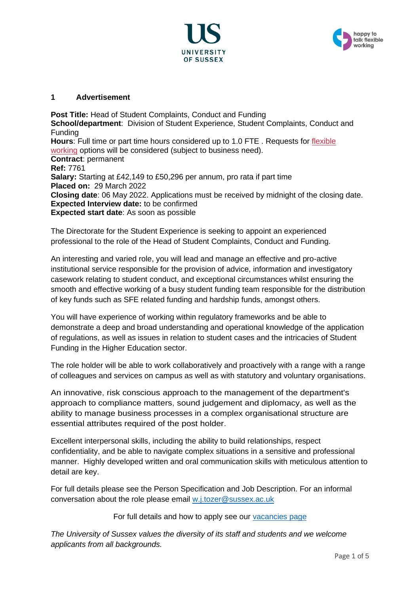



### **1 Advertisement**

**Post Title:** Head of Student Complaints, Conduct and Funding **School/department**: Division of Student Experience, Student Complaints, Conduct and Funding **Hours**: Full time or part time hours considered up to 1.0 FTE . Requests for [flexible](http://www.sussex.ac.uk/humanresources/personnel/flexible-working)  [working](http://www.sussex.ac.uk/humanresources/personnel/flexible-working) options will be considered (subject to business need). **Contract**: permanent **Ref:** 7761 **Salary:** Starting at £42,149 to £50,296 per annum, pro rata if part time **Placed on:** 29 March 2022 **Closing date**: 06 May 2022. Applications must be received by midnight of the closing date. **Expected Interview date:** to be confirmed **Expected start date**: As soon as possible

The Directorate for the Student Experience is seeking to appoint an experienced professional to the role of the Head of Student Complaints, Conduct and Funding.

An interesting and varied role, you will lead and manage an effective and pro-active institutional service responsible for the provision of advice, information and investigatory casework relating to student conduct, and exceptional circumstances whilst ensuring the smooth and effective working of a busy student funding team responsible for the distribution of key funds such as SFE related funding and hardship funds, amongst others.

You will have experience of working within regulatory frameworks and be able to demonstrate a deep and broad understanding and operational knowledge of the application of regulations, as well as issues in relation to student cases and the intricacies of Student Funding in the Higher Education sector.

The role holder will be able to work collaboratively and proactively with a range with a range of colleagues and services on campus as well as with statutory and voluntary organisations.

An innovative, risk conscious approach to the management of the department's approach to compliance matters, sound judgement and diplomacy, as well as the ability to manage business processes in a complex organisational structure are essential attributes required of the post holder.

Excellent interpersonal skills, including the ability to build relationships, respect confidentiality, and be able to navigate complex situations in a sensitive and professional manner. Highly developed written and oral communication skills with meticulous attention to detail are key.

For full details please see the Person Specification and Job Description. For an informal conversation about the role please email [w.j.tozer@sussex.ac.uk](mailto:w.j.tozer@sussex.ac.uk)

For full details and how to apply see our [vacancies page](https://www.sussex.ac.uk/about/jobs)

*The University of Sussex values the diversity of its staff and students and we welcome applicants from all backgrounds.*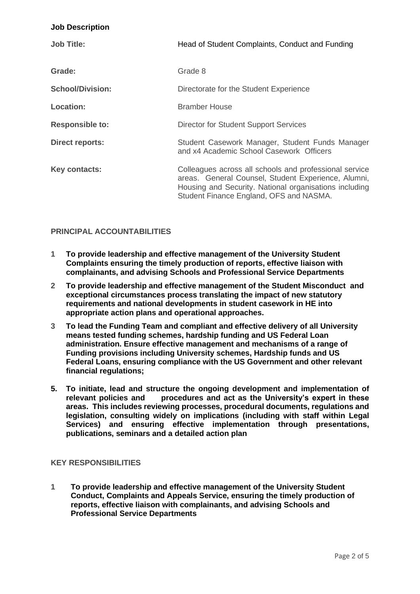#### **Job Description**

| <b>Job Title:</b>       | Head of Student Complaints, Conduct and Funding                                                                                                                                                                    |
|-------------------------|--------------------------------------------------------------------------------------------------------------------------------------------------------------------------------------------------------------------|
| Grade:                  | Grade 8                                                                                                                                                                                                            |
| <b>School/Division:</b> | Directorate for the Student Experience                                                                                                                                                                             |
| <b>Location:</b>        | <b>Bramber House</b>                                                                                                                                                                                               |
| <b>Responsible to:</b>  | Director for Student Support Services                                                                                                                                                                              |
| <b>Direct reports:</b>  | Student Casework Manager, Student Funds Manager<br>and x4 Academic School Casework Officers                                                                                                                        |
| Key contacts:           | Colleagues across all schools and professional service<br>areas. General Counsel, Student Experience, Alumni,<br>Housing and Security. National organisations including<br>Student Finance England, OFS and NASMA. |

## **PRINCIPAL ACCOUNTABILITIES**

- **1 To provide leadership and effective management of the University Student Complaints ensuring the timely production of reports, effective liaison with complainants, and advising Schools and Professional Service Departments**
- **2 To provide leadership and effective management of the Student Misconduct and exceptional circumstances process translating the impact of new statutory requirements and national developments in student casework in HE into appropriate action plans and operational approaches.**
- **3 To lead the Funding Team and compliant and effective delivery of all University means tested funding schemes, hardship funding and US Federal Loan administration. Ensure effective management and mechanisms of a range of Funding provisions including University schemes, Hardship funds and US Federal Loans, ensuring compliance with the US Government and other relevant financial regulations;**
- **5. To initiate, lead and structure the ongoing development and implementation of relevant policies and procedures and act as the University's expert in these areas. This includes reviewing processes, procedural documents, regulations and legislation, consulting widely on implications (including with staff within Legal Services) and ensuring effective implementation through presentations, publications, seminars and a detailed action plan**

### **KEY RESPONSIBILITIES**

**1 To provide leadership and effective management of the University Student Conduct, Complaints and Appeals Service, ensuring the timely production of reports, effective liaison with complainants, and advising Schools and Professional Service Departments**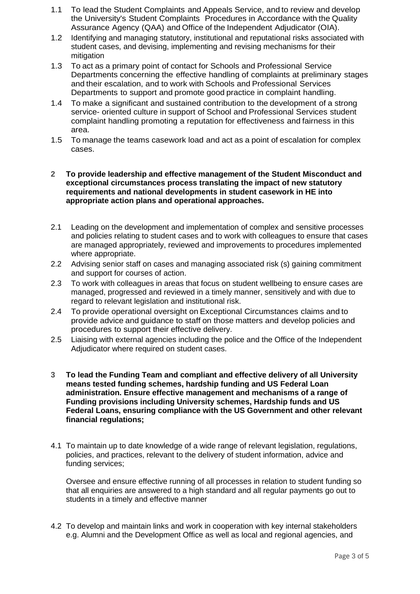- 1.1 To lead the Student Complaints and Appeals Service, and to review and develop the University's Student Complaints Procedures in Accordance with the Quality Assurance Agency (QAA) and Office of the Independent Adjudicator (OIA).
- 1.2 Identifying and managing statutory, institutional and reputational risks associated with student cases, and devising, implementing and revising mechanisms for their mitigation
- 1.3 To act as a primary point of contact for Schools and Professional Service Departments concerning the effective handling of complaints at preliminary stages and their escalation, and to work with Schools and Professional Services Departments to support and promote good practice in complaint handling.
- 1.4 To make a significant and sustained contribution to the development of a strong service- oriented culture in support of School and Professional Services student complaint handling promoting a reputation for effectiveness and fairness in this area.
- 1.5 To manage the teams casework load and act as a point of escalation for complex cases.

#### **2 To provide leadership and effective management of the Student Misconduct and exceptional circumstances process translating the impact of new statutory requirements and national developments in student casework in HE into appropriate action plans and operational approaches.**

- 2.1 Leading on the development and implementation of complex and sensitive processes and policies relating to student cases and to work with colleagues to ensure that cases are managed appropriately, reviewed and improvements to procedures implemented where appropriate.
- 2.2 Advising senior staff on cases and managing associated risk (s) gaining commitment and support for courses of action.
- 2.3 To work with colleagues in areas that focus on student wellbeing to ensure cases are managed, progressed and reviewed in a timely manner, sensitively and with due to regard to relevant legislation and institutional risk.
- 2.4 To provide operational oversight on Exceptional Circumstances claims and to provide advice and guidance to staff on those matters and develop policies and procedures to support their effective delivery.
- 2.5 Liaising with external agencies including the police and the Office of the Independent Adjudicator where required on student cases.
- **3 To lead the Funding Team and compliant and effective delivery of all University means tested funding schemes, hardship funding and US Federal Loan administration. Ensure effective management and mechanisms of a range of Funding provisions including University schemes, Hardship funds and US Federal Loans, ensuring compliance with the US Government and other relevant financial regulations;**
- 4.1 To maintain up to date knowledge of a wide range of relevant legislation, regulations, policies, and practices, relevant to the delivery of student information, advice and funding services;

Oversee and ensure effective running of all processes in relation to student funding so that all enquiries are answered to a high standard and all regular payments go out to students in a timely and effective manner

4.2 To develop and maintain links and work in cooperation with key internal stakeholders e.g. Alumni and the Development Office as well as local and regional agencies, and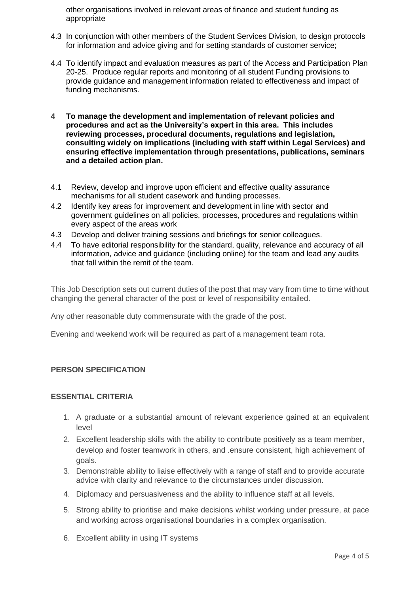other organisations involved in relevant areas of finance and student funding as appropriate

- 4.3 In conjunction with other members of the Student Services Division, to design protocols for information and advice giving and for setting standards of customer service;
- 4.4 To identify impact and evaluation measures as part of the Access and Participation Plan 20-25. Produce regular reports and monitoring of all student Funding provisions to provide guidance and management information related to effectiveness and impact of funding mechanisms.
- **4 To manage the development and implementation of relevant policies and procedures and act as the University's expert in this area. This includes reviewing processes, procedural documents, regulations and legislation, consulting widely on implications (including with staff within Legal Services) and ensuring effective implementation through presentations, publications, seminars and a detailed action plan.**
- 4.1 Review, develop and improve upon efficient and effective quality assurance mechanisms for all student casework and funding processes.
- 4.2 Identify key areas for improvement and development in line with sector and government guidelines on all policies, processes, procedures and regulations within every aspect of the areas work
- 4.3 Develop and deliver training sessions and briefings for senior colleagues.
- 4.4 To have editorial responsibility for the standard, quality, relevance and accuracy of all information, advice and guidance (including online) for the team and lead any audits that fall within the remit of the team.

This Job Description sets out current duties of the post that may vary from time to time without changing the general character of the post or level of responsibility entailed.

Any other reasonable duty commensurate with the grade of the post.

Evening and weekend work will be required as part of a management team rota.

### **PERSON SPECIFICATION**

### **ESSENTIAL CRITERIA**

- 1. A graduate or a substantial amount of relevant experience gained at an equivalent level
- 2. Excellent leadership skills with the ability to contribute positively as a team member, develop and foster teamwork in others, and .ensure consistent, high achievement of goals.
- 3. Demonstrable ability to liaise effectively with a range of staff and to provide accurate advice with clarity and relevance to the circumstances under discussion.
- 4. Diplomacy and persuasiveness and the ability to influence staff at all levels.
- 5. Strong ability to prioritise and make decisions whilst working under pressure, at pace and working across organisational boundaries in a complex organisation.
- 6. Excellent ability in using IT systems